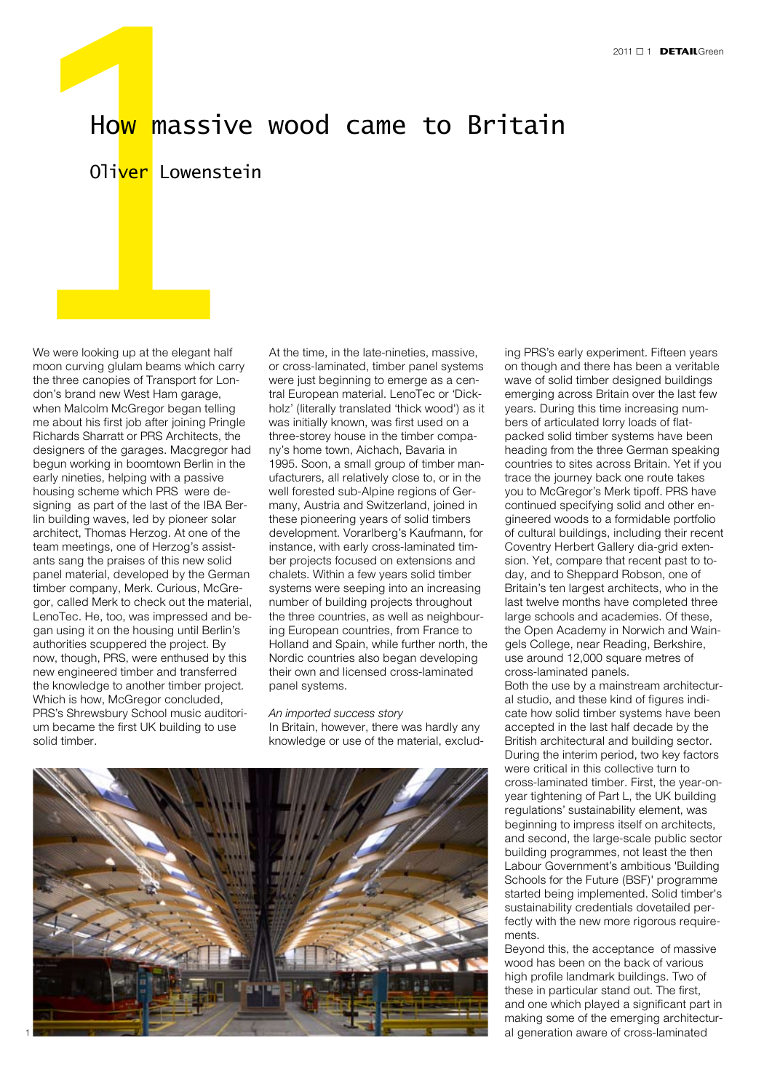

## Oliver Lowenstein

**How massive**<br>
Oliver Lowenstein<br>
We were looking up at the elegant half<br>
moon curving glulam beams which carry<br>
the three canopies of Transport for Lon-<br>
don's brand new West Ham garage, We were looking up at the elegant half moon curving glulam beams which carry the three canopies of Transport for London's brand new West Ham garage, when Malcolm McGregor began telling me about his first job after joining Pringle Richards Sharratt or PRS Architects, the designers of the garages. Macgregor had begun working in boomtown Berlin in the early nineties, helping with a passive housing scheme which PRS were designing as part of the last of the IBA Berlin building waves, led by pioneer solar architect, Thomas Herzog. At one of the team meetings, one of Herzog's assistants sang the praises of this new solid panel material, developed by the German timber company, Merk. Curious, McGregor, called Merk to check out the material, LenoTec. He, too, was impressed and began using it on the housing until Berlin's authorities scuppered the project. By now, though, PRS, were enthused by this new engineered timber and transferred the knowledge to another timber project. Which is how, McGregor concluded, PRS's Shrewsbury School music auditorium became the first UK building to use solid timber.

At the time, in the late-nineties, massive, or cross-laminated, timber panel systems were just beginning to emerge as a central European material. LenoTec or 'Dickholz' (literally translated 'thick wood') as it was initially known, was first used on a three-storey house in the timber company's home town, Aichach, Bavaria in 1995. Soon, a small group of timber manufacturers, all relatively close to, or in the well forested sub-Alpine regions of Germany, Austria and Switzerland, joined in these pioneering years of solid timbers development. Vorarlberg's Kaufmann, for instance, with early cross-laminated timber projects focused on extensions and chalets. Within a few years solid timber systems were seeping into an increasing number of building projects throughout the three countries, as well as neighbouring European countries, from France to Holland and Spain, while further north, the Nordic countries also began developing their own and licensed cross-laminated panel systems.

## *An imported success story*

In Britain, however, there was hardly any knowledge or use of the material, exclud-



ing PRS's early experiment. Fifteen years on though and there has been a veritable wave of solid timber designed buildings emerging across Britain over the last few years. During this time increasing numbers of articulated lorry loads of flatpacked solid timber systems have been heading from the three German speaking countries to sites across Britain. Yet if you trace the journey back one route takes you to McGregor's Merk tipoff. PRS have continued specifying solid and other engineered woods to a formidable portfolio of cultural buildings, including their recent Coventry Herbert Gallery dia-grid extension. Yet, compare that recent past to today, and to Sheppard Robson, one of Britain's ten largest architects, who in the last twelve months have completed three large schools and academies. Of these, the Open Academy in Norwich and Waingels College, near Reading, Berkshire, use around 12,000 square metres of cross-laminated panels. Both the use by a mainstream architectur-

al studio, and these kind of figures indicate how solid timber systems have been accepted in the last half decade by the British architectural and building sector. During the interim period, two key factors were critical in this collective turn to cross-laminated timber. First, the year-onyear tightening of Part L, the UK building regulations' sustainability element, was beginning to impress itself on architects, and second, the large-scale public sector building programmes, not least the then Labour Government's ambitious 'Building Schools for the Future (BSF)' programme started being implemented. Solid timber's sustainability credentials dovetailed perfectly with the new more rigorous requirements.

Beyond this, the acceptance of massive wood has been on the back of various high profile landmark buildings. Two of these in particular stand out. The first, and one which played a significant part in making some of the emerging architectural generation aware of cross-laminated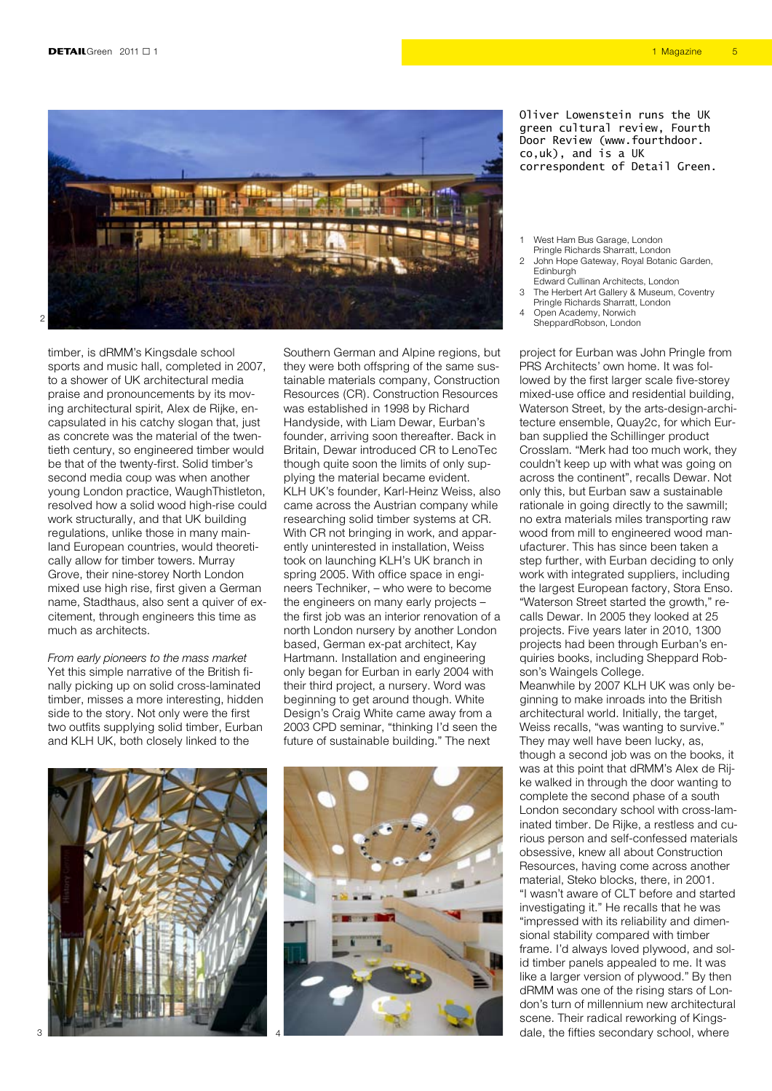

timber, is dRMM's Kingsdale school sports and music hall, completed in 2007, to a shower of UK architectural media praise and pronouncements by its moving architectural spirit, Alex de Rijke, encapsulated in his catchy slogan that, just as concrete was the material of the twentieth century, so engineered timber would be that of the twenty-first. Solid timber's second media coup was when another young London practice, WaughThistleton, resolved how a solid wood high-rise could work structurally, and that UK building regulations, unlike those in many mainland European countries, would theoretically allow for timber towers. Murray Grove, their nine-storey North London mixed use high rise, first given a German name, Stadthaus, also sent a quiver of excitement, through engineers this time as much as architects.

*From early pioneers to the mass market* Yet this simple narrative of the British finally picking up on solid cross-laminated timber, misses a more interesting, hidden side to the story. Not only were the first two outfits supplying solid timber, Eurban and KLH UK, both closely linked to the

Southern German and Alpine regions, but they were both offspring of the same sustainable materials company, Construction Resources (CR). Construction Resources was established in 1998 by Richard Handyside, with Liam Dewar, Eurban's founder, arriving soon thereafter. Back in Britain, Dewar introduced CR to LenoTec though quite soon the limits of only supplying the material became evident. KLH UK's founder, Karl-Heinz Weiss, also came across the Austrian company while researching solid timber systems at CR. With CR not bringing in work, and apparently uninterested in installation, Weiss took on launching KLH's UK branch in spring 2005. With office space in engineers Techniker, – who were to become the engineers on many early projects – the first job was an interior renovation of a north London nursery by another London based, German ex-pat architect, Kay Hartmann. Installation and engineering only began for Eurban in early 2004 with their third project, a nursery. Word was beginning to get around though. White Design's Craig White came away from a 2003 CPD seminar, "thinking I'd seen the future of sustainable building." The next





Oliver Lowenstein runs the UK green cultural review, Fourth Door Review (www.fourthdoor. co,uk), and is a UK correspondent of Detail Green.

1 West Ham Bus Garage, London Pringle Richards Sharratt, London

- 2 John Hope Gateway, Royal Botanic Garden, **Edinburgh**
- Edward Cullinan Architects, London 3 The Herbert Art Gallery & Museum, Coventry
- Pringle Richards Sharratt, London
- 4 Open Academy, Norwich SheppardRobson, London

project for Eurban was John Pringle from PRS Architects' own home. It was followed by the first larger scale five-storey mixed-use office and residential building, Waterson Street, by the arts-design-architecture ensemble, Quay2c, for which Eurban supplied the Schillinger product Crosslam. "Merk had too much work, they couldn't keep up with what was going on across the continent", recalls Dewar. Not only this, but Eurban saw a sustainable rationale in going directly to the sawmill: no extra materials miles transporting raw wood from mill to engineered wood manufacturer. This has since been taken a step further, with Eurban deciding to only work with integrated suppliers, including the largest European factory, Stora Enso. "Waterson Street started the growth," recalls Dewar. In 2005 they looked at 25 projects. Five years later in 2010, 1300 projects had been through Eurban's enquiries books, including Sheppard Robson's Waingels College. Meanwhile by 2007 KLH UK was only beginning to make inroads into the British architectural world. Initially, the target, Weiss recalls, "was wanting to survive." They may well have been lucky, as, though a second job was on the books, it was at this point that dRMM's Alex de Rijke walked in through the door wanting to complete the second phase of a south London secondary school with cross-laminated timber. De Rijke, a restless and curious person and self-confessed materials obsessive, knew all about Construction Resources, having come across another material, Steko blocks, there, in 2001. "I wasn't aware of CLT before and started investigating it." He recalls that he was "impressed with its reliability and dimensional stability compared with timber frame. I'd always loved plywood, and solid timber panels appealed to me. It was like a larger version of plywood." By then dRMM was one of the rising stars of London's turn of millennium new architectural scene. Their radical reworking of Kingsdale, the fifties secondary school, where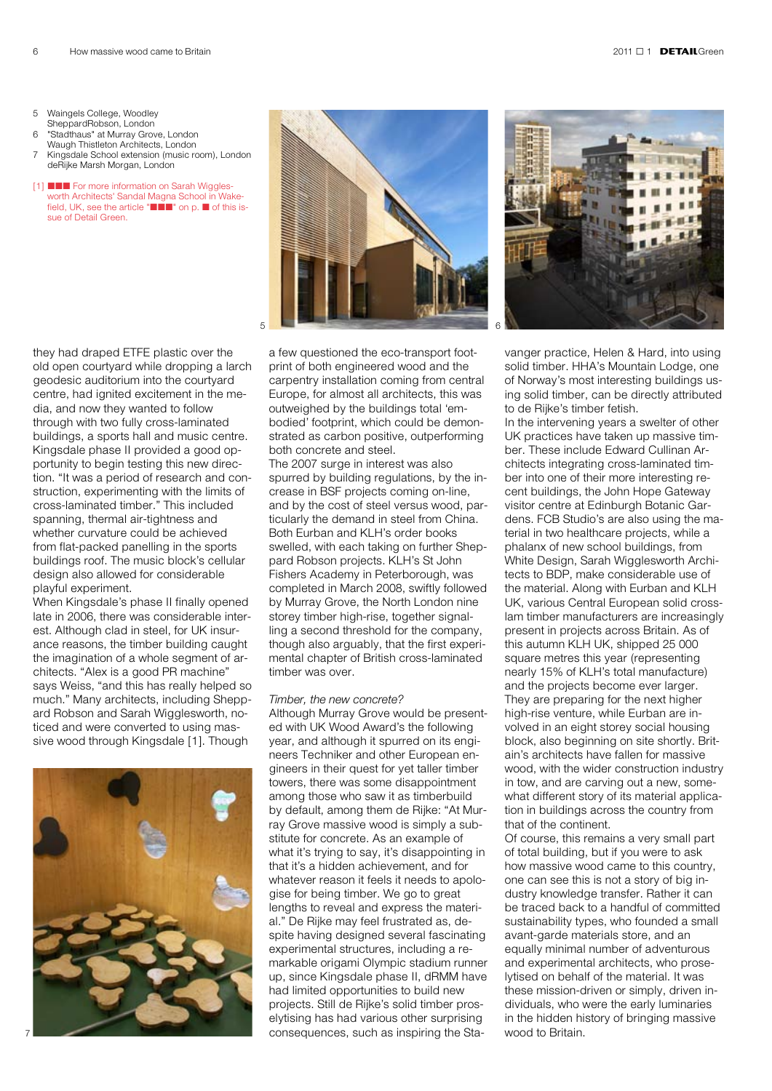- 5 Waingels College, Woodley
- SheppardRobson, London "Stadthaus" at Murray Grove, London
- Waugh Thistleton Architects, London 7 Kingsdale School extension (music room), London deRijke Marsh Morgan, London
- [1] **■■■** For more information on Sarah Wigglesworth Architects' Sandal Magna School in Wakefield, UK, see the article " $\blacksquare\blacksquare\blacksquare$ " on p.  $\blacksquare$  of this issue of Detail Green.

they had draped ETFE plastic over the old open courtyard while dropping a larch geodesic auditorium into the courtyard centre, had ignited excitement in the media, and now they wanted to follow through with two fully cross-laminated buildings, a sports hall and music centre. Kingsdale phase II provided a good opportunity to begin testing this new direction. "It was a period of research and construction, experimenting with the limits of cross-laminated timber." This included spanning, thermal air-tightness and whether curvature could be achieved from flat-packed panelling in the sports buildings roof. The music block's cellular design also allowed for considerable playful experiment.

When Kingsdale's phase II finally opened late in 2006, there was considerable interest. Although clad in steel, for UK insurance reasons, the timber building caught the imagination of a whole segment of architects. "Alex is a good PR machine" says Weiss, "and this has really helped so much." Many architects, including Sheppard Robson and Sarah Wigglesworth, noticed and were converted to using massive wood through Kingsdale [1]. Though





a few questioned the eco-transport footprint of both engineered wood and the carpentry installation coming from central Europe, for almost all architects, this was outweighed by the buildings total 'embodied' footprint, which could be demonstrated as carbon positive, outperforming both concrete and steel.

The 2007 surge in interest was also spurred by building regulations, by the increase in BSF projects coming on-line, and by the cost of steel versus wood, particularly the demand in steel from China. Both Eurban and KLH's order books swelled, with each taking on further Sheppard Robson projects. KLH's St John Fishers Academy in Peterborough, was completed in March 2008, swiftly followed by Murray Grove, the North London nine storey timber high-rise, together signalling a second threshold for the company, though also arguably, that the first experimental chapter of British cross-laminated timber was over.

## *Timber, the new concrete?*

Although Murray Grove would be presented with UK Wood Award's the following year, and although it spurred on its engineers Techniker and other European engineers in their quest for yet taller timber towers, there was some disappointment among those who saw it as timberbuild by default, among them de Rijke: "At Murray Grove massive wood is simply a substitute for concrete. As an example of what it's trying to say, it's disappointing in that it's a hidden achievement, and for whatever reason it feels it needs to apologise for being timber. We go to great lengths to reveal and express the material." De Rijke may feel frustrated as, despite having designed several fascinating experimental structures, including a remarkable origami Olympic stadium runner up, since Kingsdale phase II, dRMM have had limited opportunities to build new projects. Still de Rijke's solid timber proselytising has had various other surprising consequences, such as inspiring the Sta-



vanger practice, Helen & Hard, into using solid timber. HHA's Mountain Lodge, one of Norway's most interesting buildings using solid timber, can be directly attributed to de Rijke's timber fetish.

In the intervening years a swelter of other UK practices have taken up massive timber. These include Edward Cullinan Architects integrating cross-laminated timber into one of their more interesting recent buildings, the John Hope Gateway visitor centre at Edinburgh Botanic Gardens. FCB Studio's are also using the material in two healthcare projects, while a phalanx of new school buildings, from White Design, Sarah Wigglesworth Architects to BDP, make considerable use of the material. Along with Eurban and KLH UK, various Central European solid crosslam timber manufacturers are increasingly present in projects across Britain. As of this autumn KLH UK, shipped 25 000 square metres this year (representing nearly 15% of KLH's total manufacture) and the projects become ever larger. They are preparing for the next higher high-rise venture, while Eurban are involved in an eight storey social housing block, also beginning on site shortly. Britain's architects have fallen for massive wood, with the wider construction industry in tow, and are carving out a new, somewhat different story of its material application in buildings across the country from that of the continent.

Of course, this remains a very small part of total building, but if you were to ask how massive wood came to this country, one can see this is not a story of big industry knowledge transfer. Rather it can be traced back to a handful of committed sustainability types, who founded a small avant-garde materials store, and an equally minimal number of adventurous and experimental architects, who proselytised on behalf of the material. It was these mission-driven or simply, driven individuals, who were the early luminaries in the hidden history of bringing massive wood to Britain.